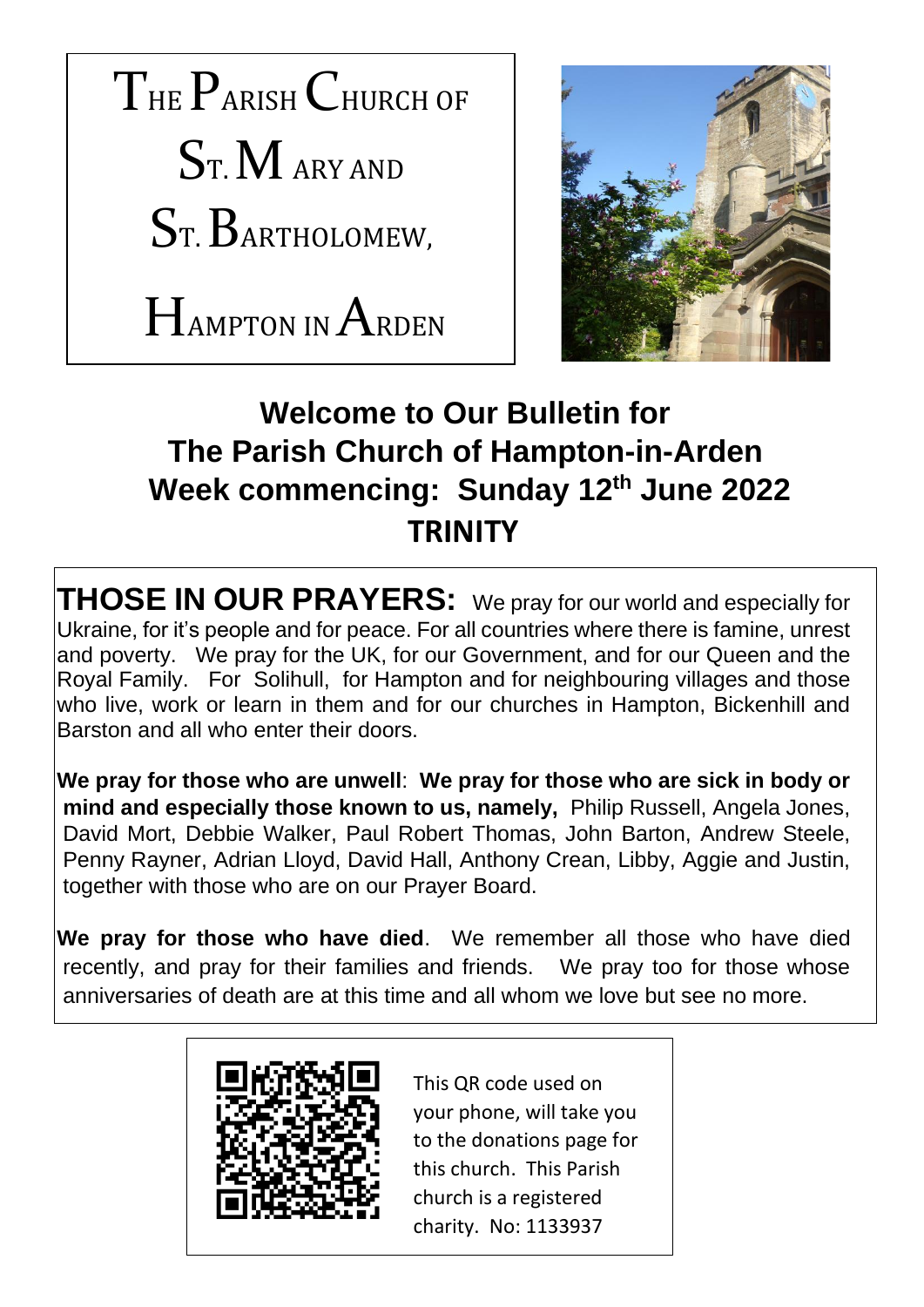



# **Welcome to Our Bulletin for The Parish Church of Hampton-in-Arden Week commencing: Sunday 12th June 2022 TRINITY**

**THOSE IN OUR PRAYERS:** We pray for our world and especially for Ukraine, for it's people and for peace. For all countries where there is famine, unrest and poverty. We pray for the UK, for our Government, and for our Queen and the Royal Family. For Solihull, for Hampton and for neighbouring villages and those who live, work or learn in them and for our churches in Hampton, Bickenhill and Barston and all who enter their doors.

**We pray for those who are unwell**: **We pray for those who are sick in body or mind and especially those known to us, namely,** Philip Russell, Angela Jones, David Mort, Debbie Walker, Paul Robert Thomas, John Barton, Andrew Steele, Penny Rayner, Adrian Lloyd, David Hall, Anthony Crean, Libby, Aggie and Justin, together with those who are on our Prayer Board.

**We pray for those who have died**. We remember all those who have died recently, and pray for their families and friends. We pray too for those whose anniversaries of death are at this time and all whom we love but see no more.



This QR code used on your phone, will take you to the donations page for this church. This Parish church is a registered charity. No: 1133937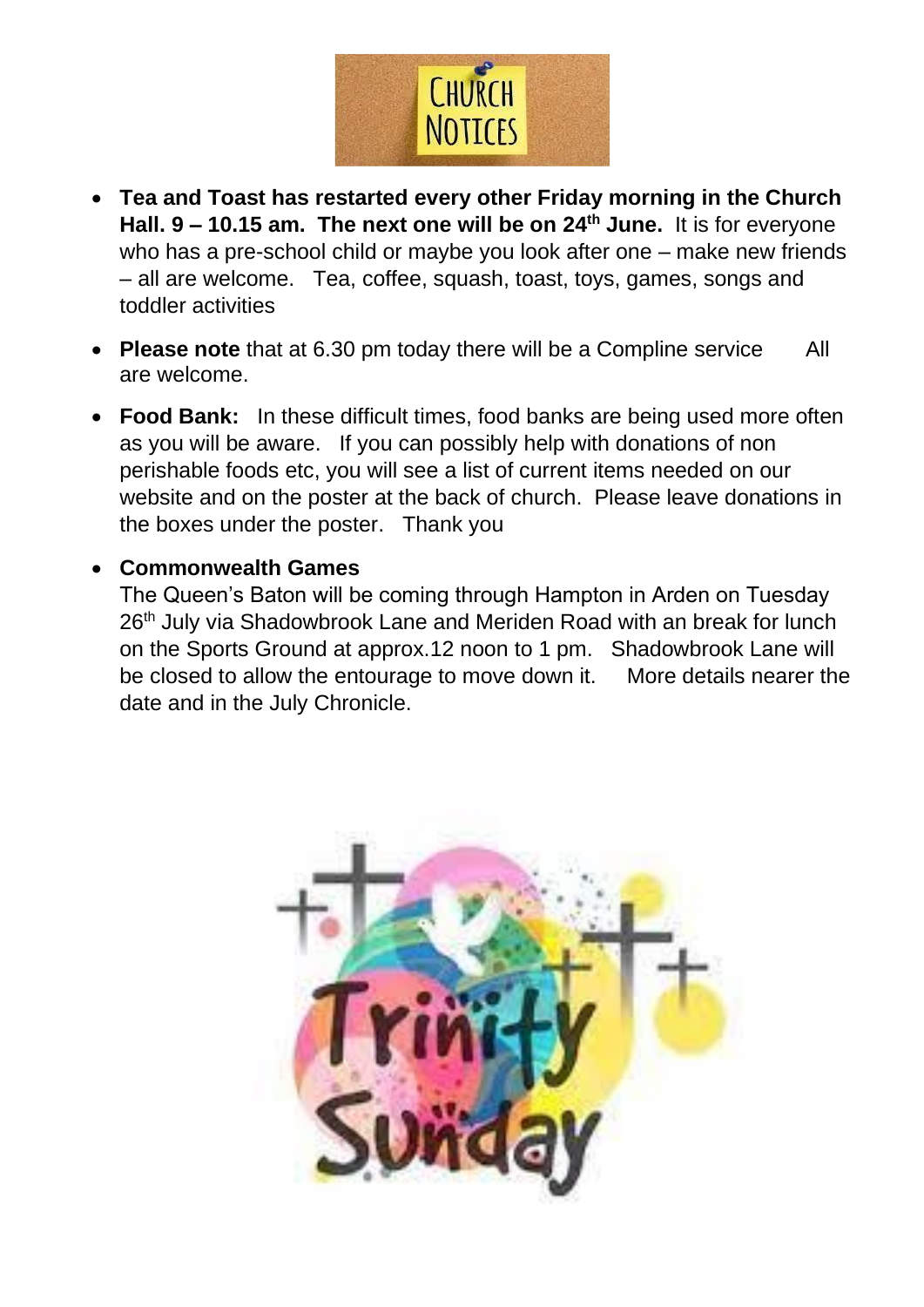

- **Tea and Toast has restarted every other Friday morning in the Church Hall. 9 – 10.15 am. The next one will be on 24th June.** It is for everyone who has a pre-school child or maybe you look after one – make new friends – all are welcome. Tea, coffee, squash, toast, toys, games, songs and toddler activities
- **Please note** that at 6.30 pm today there will be a Compline service All are welcome.
- **Food Bank:** In these difficult times, food banks are being used more often as you will be aware. If you can possibly help with donations of non perishable foods etc, you will see a list of current items needed on our website and on the poster at the back of church. Please leave donations in the boxes under the poster. Thank you

#### • **Commonwealth Games**

The Queen's Baton will be coming through Hampton in Arden on Tuesday 26<sup>th</sup> July via Shadowbrook Lane and Meriden Road with an break for lunch on the Sports Ground at approx.12 noon to 1 pm. Shadowbrook Lane will be closed to allow the entourage to move down it. More details nearer the date and in the July Chronicle.

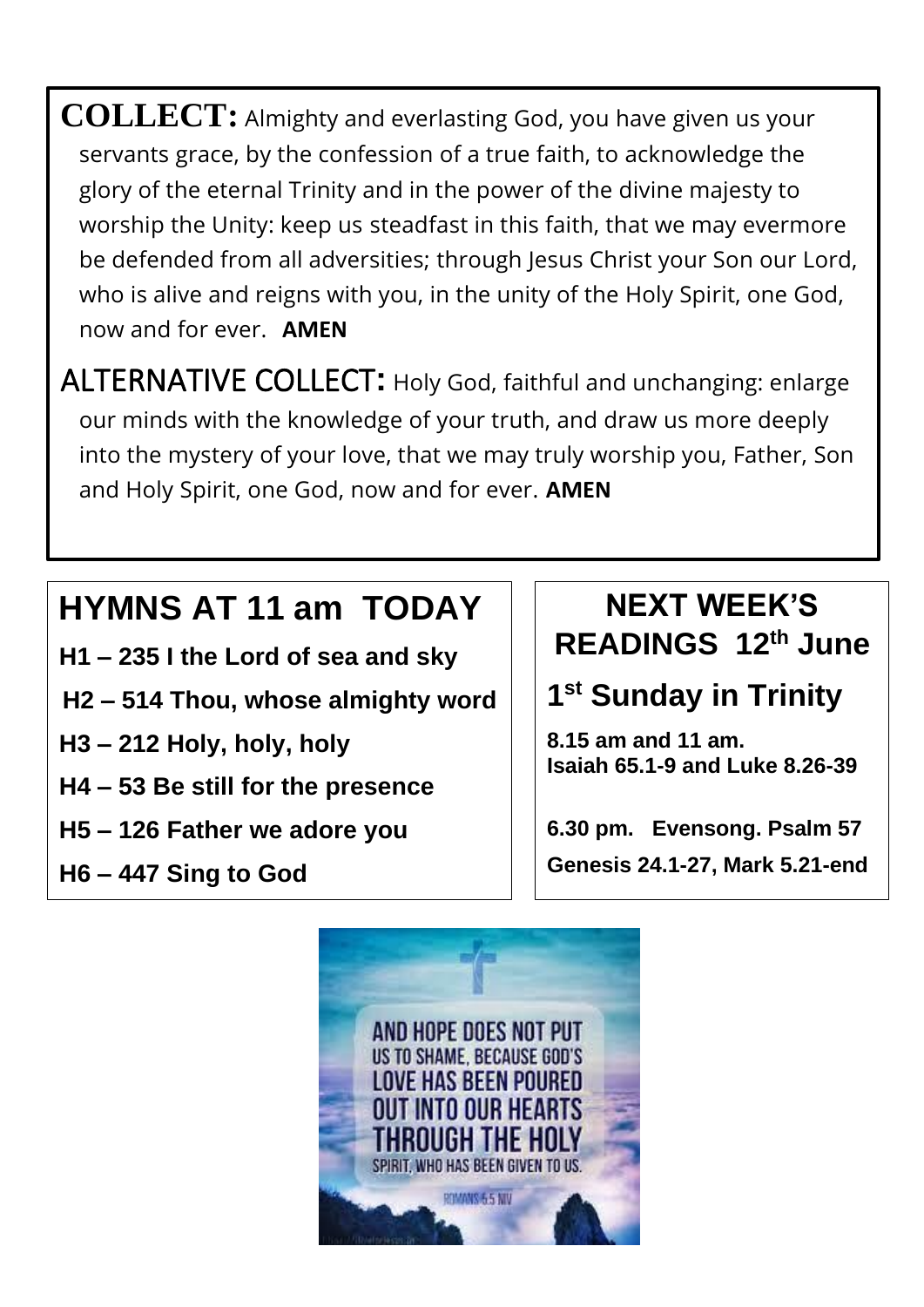**COLLECT:** Almighty and everlasting God, you have given us your servants grace, by the confession of a true faith, to acknowledge the glory of the eternal Trinity and in the power of the divine majesty to worship the Unity: keep us steadfast in this faith, that we may evermore be defended from all adversities; through Jesus Christ your Son our Lord, who is alive and reigns with you, in the unity of the Holy Spirit, one God, now and for ever. **AMEN**

ALTERNATIVE COLLECT**:** Holy God, faithful and unchanging: enlarge our minds with the knowledge of your truth, and draw us more deeply into the mystery of your love, that we may truly worship you, Father, Son and Holy Spirit, one God, now and for ever. **AMEN**

# **HYMNS AT 11 am TODAY**

- **H1 – 235 I the Lord of sea and sky**
- **H2 – 514 Thou, whose almighty word**
- **H3 – 212 Holy, holy, holy**

.

- **H4 – 53 Be still for the presence**
- **H5 – 126 Father we adore you**
- **H6 – 447 Sing to God**

#### **NEXT WEEK'S READINGS 12th June**

### **1 st Sunday in Trinity**

**8.15 am and 11 am. Isaiah 65.1-9 and Luke 8.26-39**

**6.30 pm. Evensong. Psalm 57 Genesis 24.1-27, Mark 5.21-end**